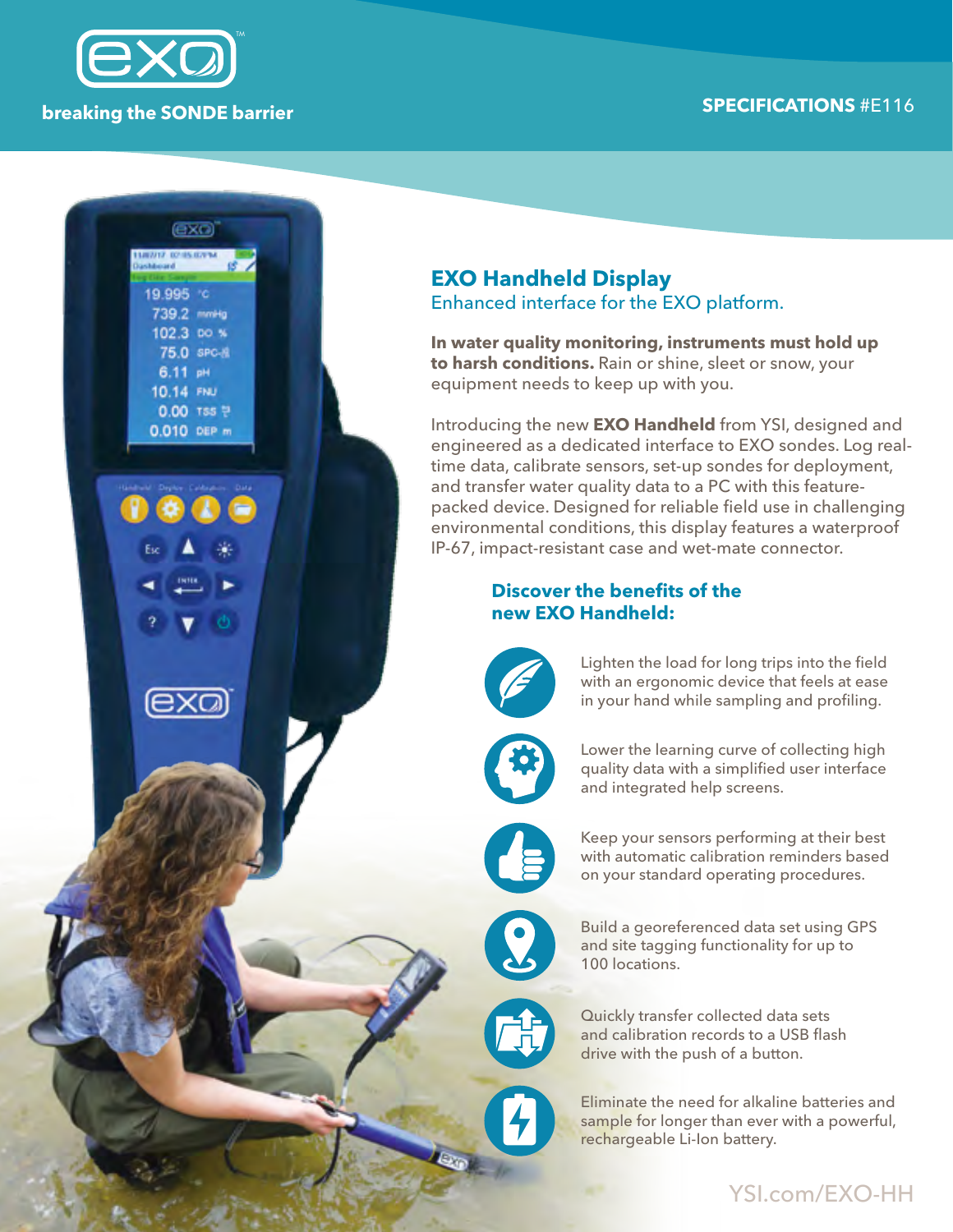# **SPECIFICATIONS** #E116 **breaking the SONDE barrier**



(EXO)

19.995 c 739.2 mmHg 102.3 DO % 75.0 spc-8 6.11 pH 10.14 FNU 0.00 TSS ? 0.010 DEP m

## **EXO Handheld Display** Enhanced interface for the EXO platform.

**In water quality monitoring, instruments must hold up to harsh conditions.** Rain or shine, sleet or snow, your equipment needs to keep up with you.

Introducing the new **EXO Handheld** from YSI, designed and engineered as a dedicated interface to EXO sondes. Log realtime data, calibrate sensors, set-up sondes for deployment, and transfer water quality data to a PC with this featurepacked device. Designed for reliable field use in challenging environmental conditions, this display features a waterproof IP-67, impact-resistant case and wet-mate connector.

#### **Discover the benefits of the new EXO Handheld:**



Lighten the load for long trips into the field with an ergonomic device that feels at ease in your hand while sampling and profiling.



Lower the learning curve of collecting high quality data with a simplified user interface and integrated help screens.



Keep your sensors performing at their best with automatic calibration reminders based on your standard operating procedures.

Build a georeferenced data set using GPS and site tagging functionality for up to 100 locations.

Quickly transfer collected data sets and calibration records to a USB flash drive with the push of a button.

Eliminate the need for alkaline batteries and sample for longer than ever with a powerful, rechargeable Li-Ion battery.